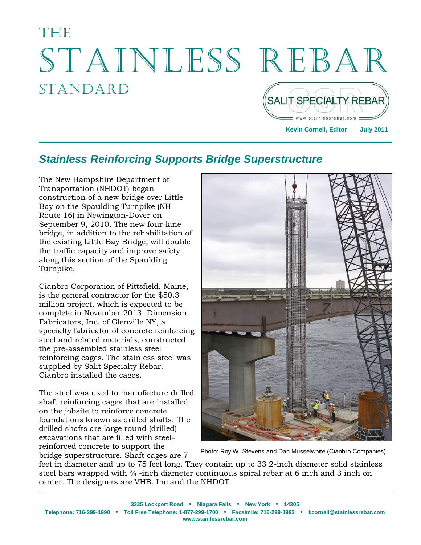# **Thens** STAINLESS REBAR **STANDARD** SALIT SPECIALTY REBAR)

**Kevin Cornell, Editor July 2011**

w.stainlessrebar.com

## *Stainless Reinforcing Supports Bridge Superstructure*

The New Hampshire Department of Transportation (NHDOT) began construction of a new bridge over Little Bay on the Spaulding Turnpike (NH Route 16) in Newington-Dover on September 9, 2010. The new four-lane bridge, in addition to the rehabilitation of the existing Little Bay Bridge, will double the traffic capacity and improve safety along this section of the Spaulding Turnpike.

Cianbro Corporation of Pittsfield, Maine, is the general contractor for the \$50.3 million project, which is expected to be complete in November 2013. Dimension Fabricators, Inc. of Glenville NY, a specialty fabricator of concrete reinforcing steel and related materials, constructed the pre-assembled stainless steel reinforcing cages. The stainless steel was supplied by Salit Specialty Rebar. Cianbro installed the cages.

The steel was used to manufacture drilled shaft reinforcing cages that are installed on the jobsite to reinforce concrete foundations known as drilled shafts. The drilled shafts are large round (drilled) excavations that are filled with steelreinforced concrete to support the bridge superstructure. Shaft cages are 7



Photo: Roy W. Stevens and Dan Musselwhite (Cianbro Companies)

feet in diameter and up to 75 feet long. They contain up to 33 2-inch diameter solid stainless steel bars wrapped with <sup>3</sup>/4 -inch diameter continuous spiral rebar at 6 inch and 3 inch on center. The designers are VHB, Inc and the NHDOT.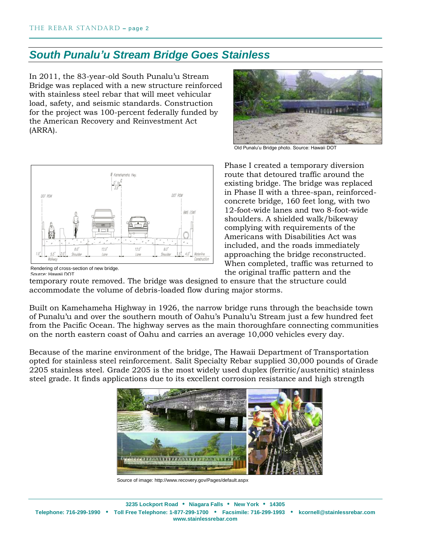### *South Punalu'u Stream Bridge Goes Stainless*

In 2011, the 83-year-old South Punalu'u Stream Bridge was replaced with a new structure reinforced with stainless steel rebar that will meet vehicular load, safety, and seismic standards. Construction for the project was 100-percent federally funded by the American Recovery and Reinvestment Act (ARRA).



Old Punalu'u Bridge photo. Source: Hawaii DOT



Rendering of cross-section of new bridge. Source: Hawaii DOT

Phase I created a temporary diversion route that detoured traffic around the existing bridge. The bridge was replaced in Phase II with a three-span, reinforcedconcrete bridge, 160 feet long, with two 12-foot-wide lanes and two 8-foot-wide shoulders. A shielded walk/bikeway complying with requirements of the Americans with Disabilities Act was included, and the roads immediately approaching the bridge reconstructed. When completed, traffic was returned to the original traffic pattern and the

temporary route removed. The bridge was designed to ensure that the structure could accommodate the volume of debris-loaded flow during major storms.

Built on Kamehameha Highway in 1926, the narrow bridge runs through the beachside town of Punalu'u and over the southern mouth of Oahu's Punalu'u Stream just a few hundred feet from the Pacific Ocean. The highway serves as the main thoroughfare connecting communities on the north eastern coast of Oahu and carries an average 10,000 vehicles every day.

Because of the marine environment of the bridge, The Hawaii Department of Transportation opted for stainless steel reinforcement. Salit Specialty Rebar supplied 30,000 pounds of Grade 2205 stainless steel. Grade 2205 is the most widely used duplex (ferritic/austenitic) stainless steel grade. It finds applications due to its excellent corrosion resistance and high strength



Source of image: http://www.recovery.gov/Pages/default.aspx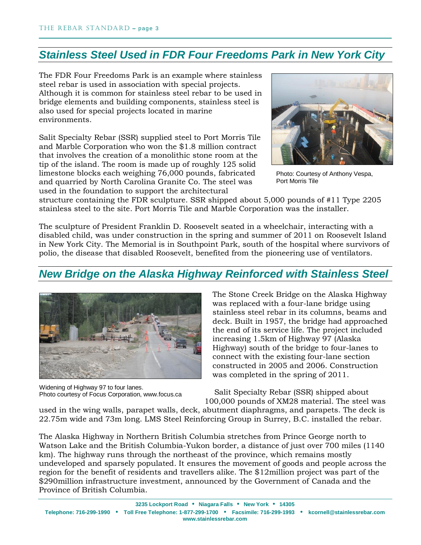## *Stainless Steel Used in FDR Four Freedoms Park in New York City*

The FDR Four Freedoms Park is an example where stainless steel rebar is used in association with special projects. Although it is common for stainless steel rebar to be used in bridge elements and building components, stainless steel is also used for special projects located in marine environments.

Salit Specialty Rebar (SSR) supplied steel to Port Morris Tile and Marble Corporation who won the \$1.8 million contract that involves the creation of a monolithic stone room at the tip of the island. The room is made up of roughly 125 solid limestone blocks each weighing 76,000 pounds, fabricated and quarried by North Carolina Granite Co. The steel was used in the foundation to support the architectural



Photo: Courtesy of Anthony Vespa, Port Morris Tile

structure containing the FDR sculpture. SSR shipped about 5,000 pounds of #11 Type 2205 stainless steel to the site. Port Morris Tile and Marble Corporation was the installer.

The sculpture of President Franklin D. Roosevelt seated in a wheelchair, interacting with a disabled child, was under construction in the spring and summer of 2011 on Roosevelt Island in New York City. The Memorial is in Southpoint Park, south of the hospital where survivors of polio, the disease that disabled Roosevelt, benefited from the pioneering use of ventilators.

#### *New Bridge on the Alaska Highway Reinforced with Stainless Steel*



Widening of Highway 97 to four lanes. Photo courtesy of Focus Corporation, www.focus.ca

The Stone Creek Bridge on the Alaska Highway was replaced with a four-lane bridge using stainless steel rebar in its columns, beams and deck. Built in 1957, the bridge had approached the end of its service life. The project included increasing 1.5km of Highway 97 (Alaska Highway) south of the bridge to four-lanes to connect with the existing four-lane section constructed in 2005 and 2006. Construction was completed in the spring of 2011.

 Salit Specialty Rebar (SSR) shipped about 100,000 pounds of XM28 material. The steel was

used in the wing walls, parapet walls, deck, abutment diaphragms, and parapets. The deck is 22.75m wide and 73m long. LMS Steel Reinforcing Group in Surrey, B.C. installed the rebar.

The Alaska Highway in Northern British Columbia stretches from Prince George north to Watson Lake and the British Columbia-Yukon border, a distance of just over 700 miles (1140 km). The highway runs through the northeast of the province, which remains mostly undeveloped and sparsely populated. It ensures the movement of goods and people across the region for the benefit of residents and travellers alike. The \$12million project was part of the \$290million infrastructure investment, announced by the Government of Canada and the Province of British Columbia.